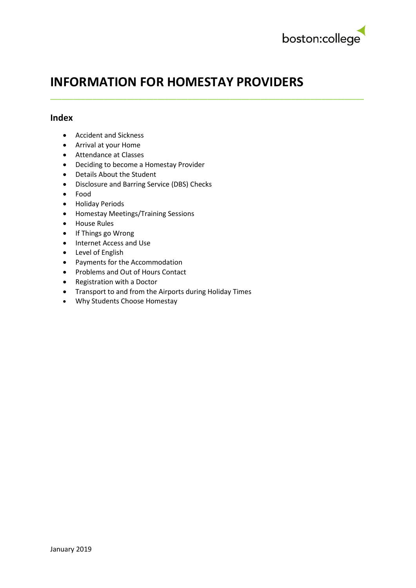

# **INFORMATION FOR HOMESTAY PROVIDERS**

**\_\_\_\_\_\_\_\_\_\_\_\_\_\_\_\_\_\_\_\_\_\_\_\_\_\_\_\_\_\_\_\_\_\_\_\_\_\_\_\_\_\_\_\_\_\_\_\_\_\_\_\_\_\_\_\_\_\_\_\_\_\_\_\_\_\_\_\_\_\_\_\_\_\_\_\_\_\_\_\_\_\_**

#### **Index**

- Accident and Sickness
- Arrival at your Home
- Attendance at Classes
- Deciding to become a Homestay Provider
- Details About the Student
- Disclosure and Barring Service (DBS) Checks
- Food
- Holiday Periods
- Homestay Meetings/Training Sessions
- House Rules
- If Things go Wrong
- Internet Access and Use
- Level of English
- Payments for the Accommodation
- Problems and Out of Hours Contact
- Registration with a Doctor
- Transport to and from the Airports during Holiday Times
- Why Students Choose Homestay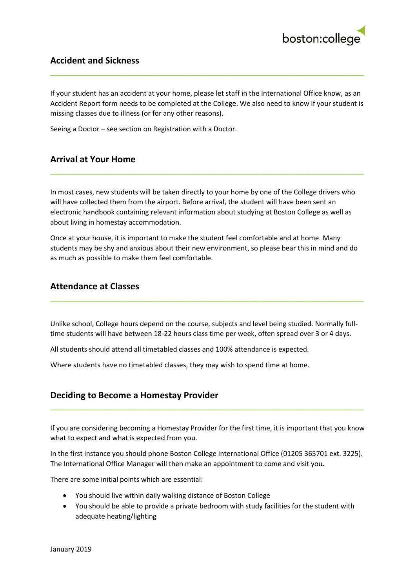

## **Accident and Sickness**

If your student has an accident at your home, please let staff in the International Office know, as an Accident Report form needs to be completed at the College. We also need to know if your student is missing classes due to illness (or for any other reasons).

**\_\_\_\_\_\_\_\_\_\_\_\_\_\_\_\_\_\_\_\_\_\_\_\_\_\_\_\_\_\_\_\_\_\_\_\_\_\_\_\_\_\_\_\_\_\_\_\_\_\_\_\_\_\_\_\_\_\_\_\_\_\_\_\_\_\_\_\_\_\_\_\_\_\_\_\_\_\_\_\_\_\_**

Seeing a Doctor – see section on Registration with a Doctor.

## **Arrival at Your Home**

In most cases, new students will be taken directly to your home by one of the College drivers who will have collected them from the airport. Before arrival, the student will have been sent an electronic handbook containing relevant information about studying at Boston College as well as about living in homestay accommodation.

**\_\_\_\_\_\_\_\_\_\_\_\_\_\_\_\_\_\_\_\_\_\_\_\_\_\_\_\_\_\_\_\_\_\_\_\_\_\_\_\_\_\_\_\_\_\_\_\_\_\_\_\_\_\_\_\_\_\_\_\_\_\_\_\_\_\_\_\_\_\_\_\_\_\_\_\_\_\_\_\_\_\_**

Once at your house, it is important to make the student feel comfortable and at home. Many students may be shy and anxious about their new environment, so please bear this in mind and do as much as possible to make them feel comfortable.

#### **Attendance at Classes**

Unlike school, College hours depend on the course, subjects and level being studied. Normally fulltime students will have between 18-22 hours class time per week, often spread over 3 or 4 days.

**\_\_\_\_\_\_\_\_\_\_\_\_\_\_\_\_\_\_\_\_\_\_\_\_\_\_\_\_\_\_\_\_\_\_\_\_\_\_\_\_\_\_\_\_\_\_\_\_\_\_\_\_\_\_\_\_\_\_\_\_\_\_\_\_\_\_\_\_\_\_\_\_\_\_\_\_\_\_\_\_\_\_**

All students should attend all timetabled classes and 100% attendance is expected.

Where students have no timetabled classes, they may wish to spend time at home.

# **Deciding to Become a Homestay Provider**

If you are considering becoming a Homestay Provider for the first time, it is important that you know what to expect and what is expected from you.

**\_\_\_\_\_\_\_\_\_\_\_\_\_\_\_\_\_\_\_\_\_\_\_\_\_\_\_\_\_\_\_\_\_\_\_\_\_\_\_\_\_\_\_\_\_\_\_\_\_\_\_\_\_\_\_\_\_\_\_\_\_\_\_\_\_\_\_\_\_\_\_\_\_\_\_\_\_\_\_\_\_\_**

In the first instance you should phone Boston College International Office (01205 365701 ext. 3225). The International Office Manager will then make an appointment to come and visit you.

There are some initial points which are essential:

- You should live within daily walking distance of Boston College
- You should be able to provide a private bedroom with study facilities for the student with adequate heating/lighting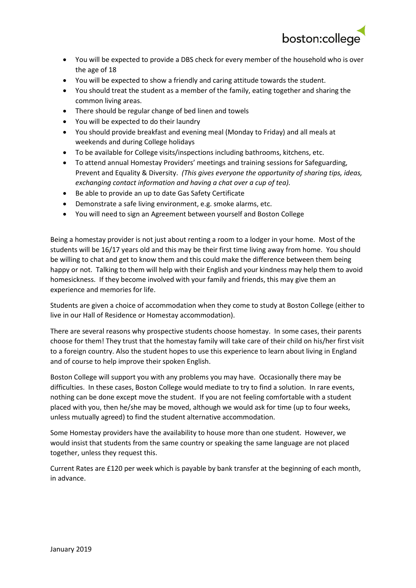

- You will be expected to provide a DBS check for every member of the household who is over the age of 18
- You will be expected to show a friendly and caring attitude towards the student.
- You should treat the student as a member of the family, eating together and sharing the common living areas.
- There should be regular change of bed linen and towels
- You will be expected to do their laundry
- You should provide breakfast and evening meal (Monday to Friday) and all meals at weekends and during College holidays
- To be available for College visits/inspections including bathrooms, kitchens, etc.
- To attend annual Homestay Providers' meetings and training sessions for Safeguarding, Prevent and Equality & Diversity. *(This gives everyone the opportunity of sharing tips, ideas, exchanging contact information and having a chat over a cup of tea).*
- Be able to provide an up to date Gas Safety Certificate
- Demonstrate a safe living environment, e.g. smoke alarms, etc.
- You will need to sign an Agreement between yourself and Boston College

Being a homestay provider is not just about renting a room to a lodger in your home. Most of the students will be 16/17 years old and this may be their first time living away from home. You should be willing to chat and get to know them and this could make the difference between them being happy or not. Talking to them will help with their English and your kindness may help them to avoid homesickness. If they become involved with your family and friends, this may give them an experience and memories for life.

Students are given a choice of accommodation when they come to study at Boston College (either to live in our Hall of Residence or Homestay accommodation).

There are several reasons why prospective students choose homestay. In some cases, their parents choose for them! They trust that the homestay family will take care of their child on his/her first visit to a foreign country. Also the student hopes to use this experience to learn about living in England and of course to help improve their spoken English.

Boston College will support you with any problems you may have. Occasionally there may be difficulties. In these cases, Boston College would mediate to try to find a solution. In rare events, nothing can be done except move the student. If you are not feeling comfortable with a student placed with you, then he/she may be moved, although we would ask for time (up to four weeks, unless mutually agreed) to find the student alternative accommodation.

Some Homestay providers have the availability to house more than one student. However, we would insist that students from the same country or speaking the same language are not placed together, unless they request this.

Current Rates are £120 per week which is payable by bank transfer at the beginning of each month, in advance.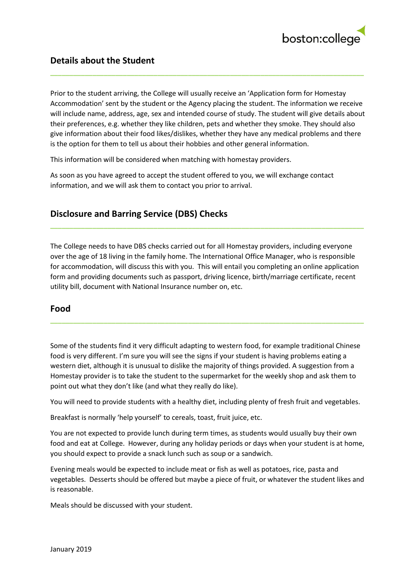

Prior to the student arriving, the College will usually receive an 'Application form for Homestay Accommodation' sent by the student or the Agency placing the student. The information we receive will include name, address, age, sex and intended course of study. The student will give details about their preferences, e.g. whether they like children, pets and whether they smoke. They should also give information about their food likes/dislikes, whether they have any medical problems and there is the option for them to tell us about their hobbies and other general information.

**\_\_\_\_\_\_\_\_\_\_\_\_\_\_\_\_\_\_\_\_\_\_\_\_\_\_\_\_\_\_\_\_\_\_\_\_\_\_\_\_\_\_\_\_\_\_\_\_\_\_\_\_\_\_\_\_\_\_\_\_\_\_\_\_\_\_\_\_\_\_\_\_\_\_\_\_\_\_\_\_\_\_**

This information will be considered when matching with homestay providers.

As soon as you have agreed to accept the student offered to you, we will exchange contact information, and we will ask them to contact you prior to arrival.

# **Disclosure and Barring Service (DBS) Checks**

The College needs to have DBS checks carried out for all Homestay providers, including everyone over the age of 18 living in the family home. The International Office Manager, who is responsible for accommodation, will discuss this with you. This will entail you completing an online application form and providing documents such as passport, driving licence, birth/marriage certificate, recent utility bill, document with National Insurance number on, etc.

**\_\_\_\_\_\_\_\_\_\_\_\_\_\_\_\_\_\_\_\_\_\_\_\_\_\_\_\_\_\_\_\_\_\_\_\_\_\_\_\_\_\_\_\_\_\_\_\_\_\_\_\_\_\_\_\_\_\_\_\_\_\_\_\_\_\_\_\_\_\_\_\_\_\_\_\_\_\_\_\_\_\_**

#### **Food**

Some of the students find it very difficult adapting to western food, for example traditional Chinese food is very different. I'm sure you will see the signs if your student is having problems eating a western diet, although it is unusual to dislike the majority of things provided. A suggestion from a Homestay provider is to take the student to the supermarket for the weekly shop and ask them to point out what they don't like (and what they really do like).

**\_\_\_\_\_\_\_\_\_\_\_\_\_\_\_\_\_\_\_\_\_\_\_\_\_\_\_\_\_\_\_\_\_\_\_\_\_\_\_\_\_\_\_\_\_\_\_\_\_\_\_\_\_\_\_\_\_\_\_\_\_\_\_\_\_\_\_\_\_\_\_\_\_\_\_\_\_\_\_\_\_\_**

You will need to provide students with a healthy diet, including plenty of fresh fruit and vegetables.

Breakfast is normally 'help yourself' to cereals, toast, fruit juice, etc.

You are not expected to provide lunch during term times, as students would usually buy their own food and eat at College. However, during any holiday periods or days when your student is at home, you should expect to provide a snack lunch such as soup or a sandwich.

Evening meals would be expected to include meat or fish as well as potatoes, rice, pasta and vegetables. Desserts should be offered but maybe a piece of fruit, or whatever the student likes and is reasonable.

Meals should be discussed with your student.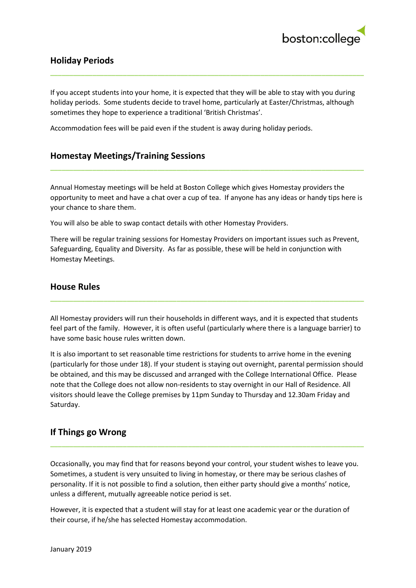

# **Holiday Periods**

If you accept students into your home, it is expected that they will be able to stay with you during holiday periods. Some students decide to travel home, particularly at Easter/Christmas, although sometimes they hope to experience a traditional 'British Christmas'.

**\_\_\_\_\_\_\_\_\_\_\_\_\_\_\_\_\_\_\_\_\_\_\_\_\_\_\_\_\_\_\_\_\_\_\_\_\_\_\_\_\_\_\_\_\_\_\_\_\_\_\_\_\_\_\_\_\_\_\_\_\_\_\_\_\_\_\_\_\_\_\_\_\_\_\_\_\_\_\_\_\_\_**

Accommodation fees will be paid even if the student is away during holiday periods.

# **Homestay Meetings/Training Sessions**

Annual Homestay meetings will be held at Boston College which gives Homestay providers the opportunity to meet and have a chat over a cup of tea. If anyone has any ideas or handy tips here is your chance to share them.

**\_\_\_\_\_\_\_\_\_\_\_\_\_\_\_\_\_\_\_\_\_\_\_\_\_\_\_\_\_\_\_\_\_\_\_\_\_\_\_\_\_\_\_\_\_\_\_\_\_\_\_\_\_\_\_\_\_\_\_\_\_\_\_\_\_\_\_\_\_\_\_\_\_\_\_\_\_\_\_\_\_\_**

You will also be able to swap contact details with other Homestay Providers.

There will be regular training sessions for Homestay Providers on important issues such as Prevent, Safeguarding, Equality and Diversity. As far as possible, these will be held in conjunction with Homestay Meetings.

#### **House Rules**

All Homestay providers will run their households in different ways, and it is expected that students feel part of the family. However, it is often useful (particularly where there is a language barrier) to have some basic house rules written down.

**\_\_\_\_\_\_\_\_\_\_\_\_\_\_\_\_\_\_\_\_\_\_\_\_\_\_\_\_\_\_\_\_\_\_\_\_\_\_\_\_\_\_\_\_\_\_\_\_\_\_\_\_\_\_\_\_\_\_\_\_\_\_\_\_\_\_\_\_\_\_\_\_\_\_\_\_\_\_\_\_\_\_**

It is also important to set reasonable time restrictions for students to arrive home in the evening (particularly for those under 18). If your student is staying out overnight, parental permission should be obtained, and this may be discussed and arranged with the College International Office. Please note that the College does not allow non-residents to stay overnight in our Hall of Residence. All visitors should leave the College premises by 11pm Sunday to Thursday and 12.30am Friday and Saturday.

# **If Things go Wrong**

Occasionally, you may find that for reasons beyond your control, your student wishes to leave you. Sometimes, a student is very unsuited to living in homestay, or there may be serious clashes of personality. If it is not possible to find a solution, then either party should give a months' notice, unless a different, mutually agreeable notice period is set.

**\_\_\_\_\_\_\_\_\_\_\_\_\_\_\_\_\_\_\_\_\_\_\_\_\_\_\_\_\_\_\_\_\_\_\_\_\_\_\_\_\_\_\_\_\_\_\_\_\_\_\_\_\_\_\_\_\_\_\_\_\_\_\_\_\_\_\_\_\_\_\_\_\_\_\_\_\_\_\_\_\_\_**

However, it is expected that a student will stay for at least one academic year or the duration of their course, if he/she has selected Homestay accommodation.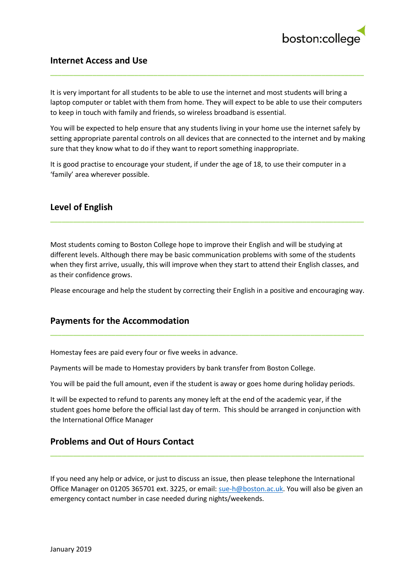

## **Internet Access and Use**

It is very important for all students to be able to use the internet and most students will bring a laptop computer or tablet with them from home. They will expect to be able to use their computers to keep in touch with family and friends, so wireless broadband is essential.

**\_\_\_\_\_\_\_\_\_\_\_\_\_\_\_\_\_\_\_\_\_\_\_\_\_\_\_\_\_\_\_\_\_\_\_\_\_\_\_\_\_\_\_\_\_\_\_\_\_\_\_\_\_\_\_\_\_\_\_\_\_\_\_\_\_\_\_\_\_\_\_\_\_\_\_\_\_\_\_\_\_\_**

You will be expected to help ensure that any students living in your home use the internet safely by setting appropriate parental controls on all devices that are connected to the internet and by making sure that they know what to do if they want to report something inappropriate.

It is good practise to encourage your student, if under the age of 18, to use their computer in a 'family' area wherever possible.

## **Level of English**

Most students coming to Boston College hope to improve their English and will be studying at different levels. Although there may be basic communication problems with some of the students when they first arrive, usually, this will improve when they start to attend their English classes, and as their confidence grows.

**\_\_\_\_\_\_\_\_\_\_\_\_\_\_\_\_\_\_\_\_\_\_\_\_\_\_\_\_\_\_\_\_\_\_\_\_\_\_\_\_\_\_\_\_\_\_\_\_\_\_\_\_\_\_\_\_\_\_\_\_\_\_\_\_\_\_\_\_\_\_\_\_\_\_\_\_\_\_\_\_\_\_**

Please encourage and help the student by correcting their English in a positive and encouraging way.

**\_\_\_\_\_\_\_\_\_\_\_\_\_\_\_\_\_\_\_\_\_\_\_\_\_\_\_\_\_\_\_\_\_\_\_\_\_\_\_\_\_\_\_\_\_\_\_\_\_\_\_\_\_\_\_\_\_\_\_\_\_\_\_\_\_\_\_\_\_\_\_\_\_\_\_\_\_\_\_\_\_\_**

#### **Payments for the Accommodation**

Homestay fees are paid every four or five weeks in advance.

Payments will be made to Homestay providers by bank transfer from Boston College.

You will be paid the full amount, even if the student is away or goes home during holiday periods.

It will be expected to refund to parents any money left at the end of the academic year, if the student goes home before the official last day of term. This should be arranged in conjunction with the International Office Manager

#### **Problems and Out of Hours Contact**

If you need any help or advice, or just to discuss an issue, then please telephone the International Office Manager on 01205 365701 ext. 3225, or email: [sue-h@boston.ac.uk.](mailto:sue-h@boston.ac.uk) You will also be given an emergency contact number in case needed during nights/weekends.

**\_\_\_\_\_\_\_\_\_\_\_\_\_\_\_\_\_\_\_\_\_\_\_\_\_\_\_\_\_\_\_\_\_\_\_\_\_\_\_\_\_\_\_\_\_\_\_\_\_\_\_\_\_\_\_\_\_\_\_\_\_\_\_\_\_\_\_\_\_\_\_\_\_\_\_\_\_\_\_\_\_\_**